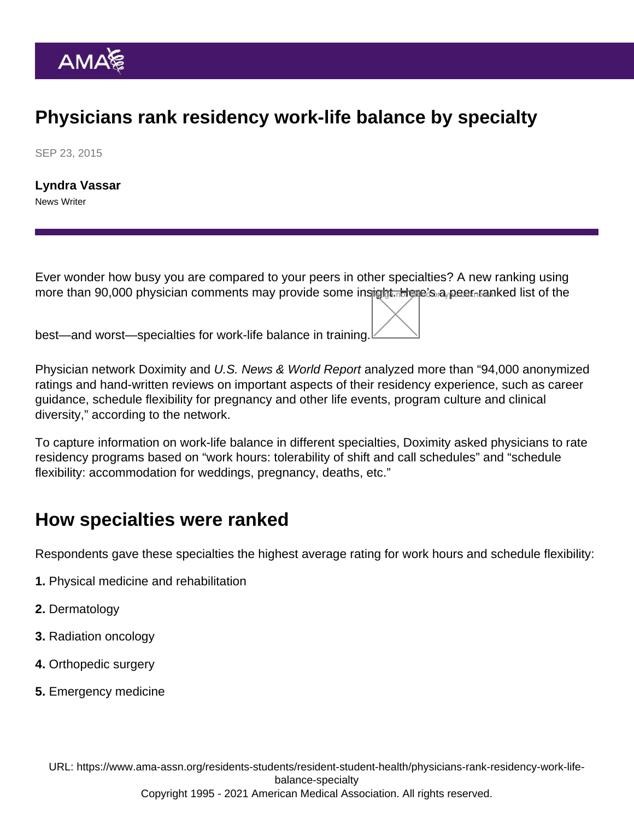## Physicians rank residency work-life balance by specialty

SEP 23, 2015

[Lyndra Vassar](https://www.ama-assn.org/news-leadership-viewpoints/authors-news-leadership-viewpoints/lyndra-vassar) News Writer

Ever wonder how busy you are compared to your peers in other specialties? A new ranking using more than 90,000 physician comments may provide some insight Here's a peer-ranked list of the

best—and worst—specialties for work-life balance in training.

Physician network Doximity and U.S. News & World Report analyzed more than "94,000 anonymized ratings and hand-written reviews on important aspects of their residency experience, such as career guidance, schedule flexibility for pregnancy and other life events, program culture and clinical diversity," according to the network.

To capture information on work-life balance in different specialties, Doximity asked physicians to rate residency programs based on "work hours: tolerability of shift and call schedules" and "schedule flexibility: accommodation for weddings, pregnancy, deaths, etc."

## How specialties were ranked

Respondents gave these specialties the highest average rating for work hours and schedule flexibility:

- 1. Physical medicine and rehabilitation
- 2. Dermatology
- 3. Radiation oncology
- 4. Orthopedic surgery
- 5. Emergency medicine

URL: [https://www.ama-assn.org/residents-students/resident-student-health/physicians-rank-residency-work-life](https://www.ama-assn.org/residents-students/resident-student-health/physicians-rank-residency-work-life-balance-specialty)[balance-specialty](https://www.ama-assn.org/residents-students/resident-student-health/physicians-rank-residency-work-life-balance-specialty) Copyright 1995 - 2021 American Medical Association. All rights reserved.